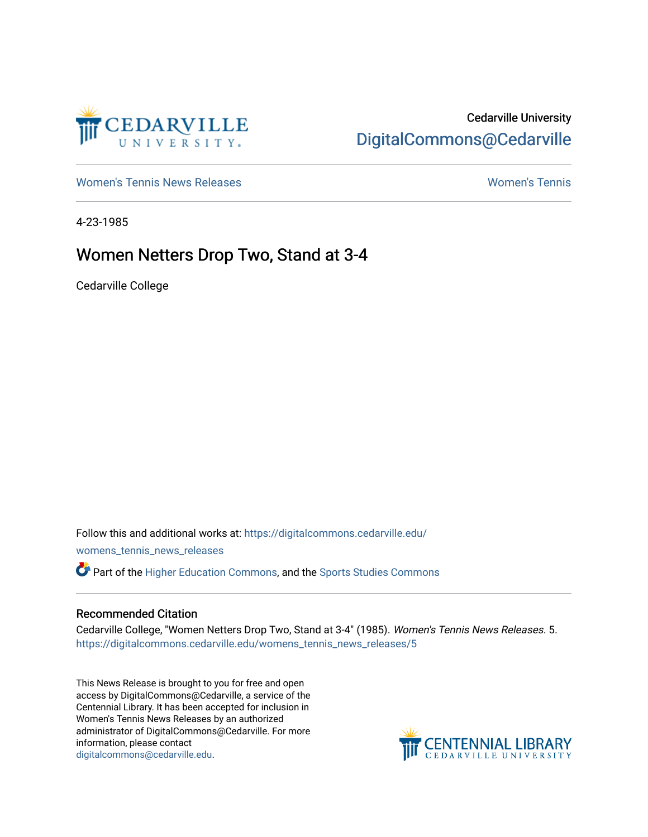

## Cedarville University [DigitalCommons@Cedarville](https://digitalcommons.cedarville.edu/)

[Women's Tennis News Releases](https://digitalcommons.cedarville.edu/womens_tennis_news_releases) [Women's Tennis](https://digitalcommons.cedarville.edu/womens_tennis) 

4-23-1985

## Women Netters Drop Two, Stand at 3-4

Cedarville College

Follow this and additional works at: [https://digitalcommons.cedarville.edu/](https://digitalcommons.cedarville.edu/womens_tennis_news_releases?utm_source=digitalcommons.cedarville.edu%2Fwomens_tennis_news_releases%2F5&utm_medium=PDF&utm_campaign=PDFCoverPages) [womens\\_tennis\\_news\\_releases](https://digitalcommons.cedarville.edu/womens_tennis_news_releases?utm_source=digitalcommons.cedarville.edu%2Fwomens_tennis_news_releases%2F5&utm_medium=PDF&utm_campaign=PDFCoverPages) 

Part of the [Higher Education Commons,](http://network.bepress.com/hgg/discipline/1245?utm_source=digitalcommons.cedarville.edu%2Fwomens_tennis_news_releases%2F5&utm_medium=PDF&utm_campaign=PDFCoverPages) and the [Sports Studies Commons](http://network.bepress.com/hgg/discipline/1198?utm_source=digitalcommons.cedarville.edu%2Fwomens_tennis_news_releases%2F5&utm_medium=PDF&utm_campaign=PDFCoverPages) 

## Recommended Citation

Cedarville College, "Women Netters Drop Two, Stand at 3-4" (1985). Women's Tennis News Releases. 5. [https://digitalcommons.cedarville.edu/womens\\_tennis\\_news\\_releases/5](https://digitalcommons.cedarville.edu/womens_tennis_news_releases/5?utm_source=digitalcommons.cedarville.edu%2Fwomens_tennis_news_releases%2F5&utm_medium=PDF&utm_campaign=PDFCoverPages) 

This News Release is brought to you for free and open access by DigitalCommons@Cedarville, a service of the Centennial Library. It has been accepted for inclusion in Women's Tennis News Releases by an authorized administrator of DigitalCommons@Cedarville. For more information, please contact [digitalcommons@cedarville.edu](mailto:digitalcommons@cedarville.edu).